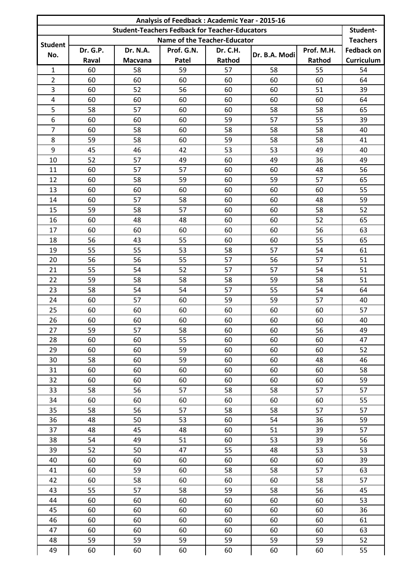|                  | Analysis of Feedback: Academic Year - 2015-16 |                |                                                       |          |               |            |                   |  |  |  |  |  |
|------------------|-----------------------------------------------|----------------|-------------------------------------------------------|----------|---------------|------------|-------------------|--|--|--|--|--|
|                  |                                               |                | <b>Student-Teachers Fedback for Teacher-Educators</b> |          |               |            | Student-          |  |  |  |  |  |
| <b>Student</b>   |                                               |                | Name of the Teacher-Educator                          |          |               |            | <b>Teachers</b>   |  |  |  |  |  |
| No.              | Dr. G.P.                                      | Dr. N.A.       | Prof. G.N.                                            | Dr. C.H. | Dr. B.A. Modi | Prof. M.H. | <b>Fedback on</b> |  |  |  |  |  |
|                  | Raval                                         | <b>Macvana</b> | Patel                                                 | Rathod   |               | Rathod     | <b>Curriculum</b> |  |  |  |  |  |
| $\mathbf{1}$     | 60                                            | 58             | 59                                                    | 57       | 58            | 55         | 54                |  |  |  |  |  |
| $\overline{2}$   | 60                                            | 60             | 60                                                    | 60       | 60            | 60         | 64                |  |  |  |  |  |
| 3                | 60                                            | 52             | 56                                                    | 60       | 60            | 51         | 39                |  |  |  |  |  |
| $\pmb{4}$        | 60                                            | 60             | 60                                                    | 60       | 60            | 60         | 64                |  |  |  |  |  |
| 5                | 58                                            | 57             | 60                                                    | 60       | 58            | 58         | 65                |  |  |  |  |  |
| $\boldsymbol{6}$ | 60                                            | 60             | 60                                                    | 59       | 57            | 55         | 39                |  |  |  |  |  |
| $\overline{7}$   | 60                                            | 58             | 60                                                    | 58       | 58            | 58         | 40                |  |  |  |  |  |
| 8                | 59                                            | 58             | 60                                                    | 59       | 58            | 58         | 41                |  |  |  |  |  |
| 9                | 45                                            | 46             | 42                                                    | 53       | 53            | 49         | 40                |  |  |  |  |  |
| 10               | 52                                            | 57             | 49                                                    | 60       | 49            | 36         | 49                |  |  |  |  |  |
| 11               | 60                                            | 57             | 57                                                    | 60       | 60            | 48         | 56                |  |  |  |  |  |
| 12               | 60                                            | 58             | 59                                                    | 60       | 59            | 57         | 65                |  |  |  |  |  |
| 13               | 60                                            | 60             | 60                                                    | 60       | 60            | 60         | 55                |  |  |  |  |  |
| 14               | 60                                            | 57             | 58                                                    | 60       | 60            | 48         | 59                |  |  |  |  |  |
| 15               | 59                                            | 58             | 57                                                    | 60       | 60            | 58         | 52                |  |  |  |  |  |
| 16               | 60                                            | 48             | 48                                                    | 60       | 60            | 52         | 65                |  |  |  |  |  |
| 17               | 60                                            | 60             | 60                                                    | 60       | 60            | 56         | 63                |  |  |  |  |  |
| 18               | 56                                            | 43             | 55                                                    | 60       | 60            | 55         | 65                |  |  |  |  |  |
| 19               | 55                                            | 55             | 53                                                    | 58       | 57            | 54         | 61                |  |  |  |  |  |
| 20               | 56                                            | 56             | 55                                                    | 57       | 56            | 57         | 51                |  |  |  |  |  |
| 21               | 55                                            | 54             | 52                                                    | 57       | 57            | 54         | 51                |  |  |  |  |  |
| 22               | 59                                            | 58             | 58                                                    | 58       | 59            | 58         | 51                |  |  |  |  |  |
| 23               | 58                                            | 54             | 54                                                    | 57       | 55            | 54         | 64                |  |  |  |  |  |
| 24               | 60                                            | 57             | 60                                                    | 59       | 59            | 57         | 40                |  |  |  |  |  |
| 25               | 60                                            | 60             | 60                                                    | 60       | 60            | 60         | 57                |  |  |  |  |  |
| 26               | 60                                            | 60             | 60                                                    | 60       | 60            | 60         | 40                |  |  |  |  |  |
| 27               | 59                                            | 57             | 58                                                    | 60       | 60            | 56         | 49                |  |  |  |  |  |
| 28               | 60                                            | 60             | 55                                                    | 60       | 60            | 60         | 47                |  |  |  |  |  |
| 29               | 60                                            | 60             | 59                                                    | 60       | 60            | 60         | 52                |  |  |  |  |  |
| 30               | 58                                            | 60             | 59                                                    | 60       | 60            | 48         | 46                |  |  |  |  |  |
| 31               | 60                                            | 60             | 60                                                    | 60       | 60            | 60         | 58                |  |  |  |  |  |
| 32               | 60                                            | 60             | 60                                                    | 60       | 60            | 60         | 59                |  |  |  |  |  |
| 33               | 58                                            | 56             | 57                                                    | 58       | 58            | 57         | 57                |  |  |  |  |  |
| 34               | 60                                            | 60             | 60                                                    | 60       | 60            | 60         | 55                |  |  |  |  |  |
| 35               | 58                                            | 56             | 57                                                    | 58       | 58            | 57         | 57                |  |  |  |  |  |
| 36               | 48                                            | 50             | 53                                                    | 60       | 54            | 36         | 59                |  |  |  |  |  |
| 37               | 48                                            | 45             | 48                                                    | 60       | 51            | 39         | 57                |  |  |  |  |  |
| 38               | 54                                            | 49             | 51                                                    | 60       | 53            | 39         | 56                |  |  |  |  |  |
| 39               | 52                                            | 50             | 47                                                    | 55       | 48            | 53         | 53                |  |  |  |  |  |
| 40               | 60                                            | 60             | 60                                                    | 60       | 60            | 60         | 39                |  |  |  |  |  |
| 41               | 60                                            | 59             | 60                                                    | 58       | 58            | 57         | 63                |  |  |  |  |  |
| 42               | 60                                            | 58             | 60                                                    | 60       | 60            | 58         | 57                |  |  |  |  |  |
| 43               | 55                                            | 57             | 58                                                    | 59       | 58            | 56         | 45                |  |  |  |  |  |
| 44               | 60                                            | 60             | 60                                                    | 60       | 60            | 60         | 53                |  |  |  |  |  |
| 45               | 60                                            | 60             | 60                                                    | 60       | 60            | 60         | 36                |  |  |  |  |  |
| 46               | 60                                            | 60             | 60                                                    | 60       | 60            | 60         | 61                |  |  |  |  |  |
| 47               | 60                                            | 60             | 60                                                    | 60       | 60            | 60         | 63                |  |  |  |  |  |
| 48               | 59                                            | 59             | 59                                                    | 59       | 59            | 59         | 52                |  |  |  |  |  |
| 49               | 60                                            | 60             | 60                                                    | 60       | 60            | 60         | 55                |  |  |  |  |  |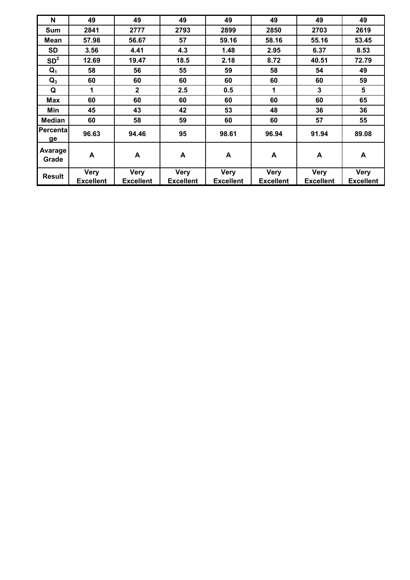| N                | 49               | 49               | 49               | 49               | 49          | 49               | 49               |
|------------------|------------------|------------------|------------------|------------------|-------------|------------------|------------------|
| <b>Sum</b>       | 2841             | 2777             | 2793             | 2899             | 2850        | 2703             | 2619             |
| Mean             | 57.98            | 56.67            | 57               | 59.16            | 58.16       | 55.16            | 53.45            |
| <b>SD</b>        | 3.56             | 4.41             | 4.3              | 1.48             | 2.95        | 6.37             | 8.53             |
| SD <sup>2</sup>  | 12.69            | 19.47            | 18.5             | 2.18             | 8.72        | 40.51            | 72.79            |
| $Q_1$            | 58               | 56               | 55               | 59               | 58          | 54               | 49               |
| $Q_3$            | 60               | 60               | 60               | 60               | 60          | 60               | 59               |
| Q                | $\mathbf 1$      | $\mathbf{2}$     | 2.5              | 0.5              | 1           | 3                | 5                |
| <b>Max</b>       | 60               | 60               | 60               | 60               | 60          | 60               | 65               |
| Min              | 45               | 43               | 42               | 53               | 48          | 36               | 36               |
| <b>Median</b>    | 60               | 58               | 59               | 60               | 60          | 57               | 55               |
| Percental<br>ge  | 96.63            | 94.46            | 95               | 98.61            | 96.94       | 91.94            | 89.08            |
| Avarage<br>Grade | A                | A                | A                | A                | A           | A                | A                |
| <b>Result</b>    | <b>Very</b>      | <b>Very</b>      | <b>Very</b>      | <b>Very</b>      | <b>Very</b> | <b>Very</b>      | <b>Very</b>      |
|                  | <b>Excellent</b> | <b>Excellent</b> | <b>Excellent</b> | <b>Excellent</b> | Excellent   | <b>Excellent</b> | <b>Excellent</b> |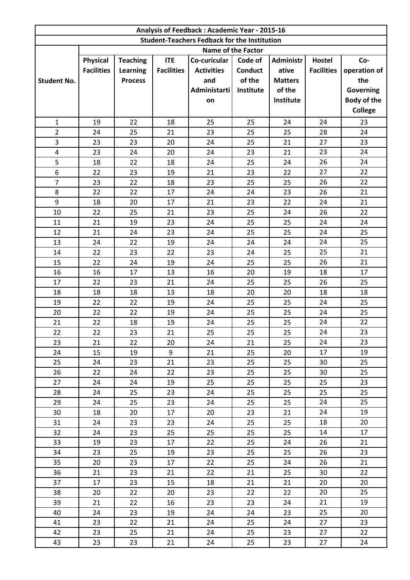|                    |                   |                 |                   | Analysis of Feedback: Academic Year - 2015-16       |                           |                  |                   |                    |
|--------------------|-------------------|-----------------|-------------------|-----------------------------------------------------|---------------------------|------------------|-------------------|--------------------|
|                    |                   |                 |                   | <b>Student-Teachers Fedback for the Institution</b> |                           |                  |                   |                    |
|                    |                   |                 |                   |                                                     | <b>Name of the Factor</b> |                  |                   |                    |
|                    | <b>Physical</b>   | <b>Teaching</b> | <b>ITE</b>        | Co-curicular                                        | Code of                   | <b>Administr</b> | <b>Hostel</b>     | Co-                |
|                    | <b>Facilities</b> | <b>Learning</b> | <b>Facilities</b> | <b>Activities</b>                                   | <b>Conduct</b>            | ative            | <b>Facilities</b> | operation of       |
| <b>Student No.</b> |                   | <b>Process</b>  |                   | and                                                 | of the                    | <b>Matters</b>   |                   | the                |
|                    |                   |                 |                   | <b>Administarti</b>                                 | Institute                 | of the           |                   | Governing          |
|                    |                   |                 |                   | on                                                  |                           | Institute        |                   | <b>Body of the</b> |
|                    |                   |                 |                   |                                                     |                           |                  |                   | <b>College</b>     |
| $\mathbf{1}$       | 19                | 22              | 18                | 25                                                  | 25                        | 24               | 24                | 23                 |
| $\overline{2}$     | 24                | 25              | 21                | 23                                                  | 25                        | 25               | 28                | 24                 |
| 3                  | 23                | 23              | 20                | 24                                                  | 25                        | 21               | 27                | 23                 |
| 4                  | 23                | 24              | 20                | 24                                                  | 23                        | 21               | 23                | 24                 |
| 5                  | 18                | 22              | 18                | 24                                                  | 25                        | 24               | 26                | 24                 |
| 6                  | 22                | 23              | 19                | 21                                                  | 23                        | 22               | 27                | 22                 |
| $\overline{7}$     | 23                | 22              | 18                | 23                                                  | 25                        | 25               | 26                | 22                 |
| 8                  | 22                | 22              | 17                | 24                                                  | 24                        | 23               | 26                | 21                 |
| 9                  | 18                | 20              | 17                | 21                                                  | 23                        | 22               | 24                | 21                 |
| 10                 | 22                | 25              | 21                | 23                                                  | 25                        | 24               | 26                | 22                 |
| 11                 | 21                | 19              | 23                | 24                                                  | 25                        | 25               | 24                | 24                 |
| 12                 | 21                | 24              | 23                | 24                                                  | 25                        | 25               | 24                | 25                 |
| 13                 | 24                | 22              | 19                | 24                                                  | 24                        | 24               | 24                | 25                 |
| 14                 | 22                | 23              | 22                | 23                                                  | 24                        | 25               | 25                | 21                 |
| 15                 | 22                | 24              | 19                | 24                                                  | 25                        | 25               | 26                | 21                 |
| 16                 | 16                | 17              | 13                | 16                                                  | 20                        | 19               | 18                | 17                 |
| 17                 | 22                | 23              | 21                | 24                                                  | 25                        | 25               | 26                | 25                 |
| 18                 | 18                | 18              | 13                | 18                                                  | 20                        | 20               | 18                | 18                 |
| 19                 | 22                | 22              | 19                | 24                                                  | 25                        | 25               | 24<br>24          | 25<br>25           |
| 20<br>21           | 22<br>22          | 22<br>18        | 19<br>19          | 24<br>24                                            | 25<br>25                  | 25<br>25         | 24                | 22                 |
| 22                 | 22                | 23              | 21                | 25                                                  | 25                        | 25               | 24                | 23                 |
| 23                 | 21                | 22              | 20                | 24                                                  | 21                        | 25               | 24                | 23                 |
| 24                 | 15                | 19              | 9                 | 21                                                  | 25                        | 20               | 17                | 19                 |
| 25                 | 24                | 23              | 21                | 23                                                  | 25                        | 25               | 30                | 25                 |
| 26                 | 22                | 24              | 22                | 23                                                  | 25                        | 25               | 30                | 25                 |
| 27                 | 24                | 24              | 19                | 25                                                  | 25                        | 25               | 25                | 23                 |
| 28                 | 24                | 25              | 23                | 24                                                  | 25                        | 25               | 25                | 25                 |
| 29                 | 24                | 25              | 23                | 24                                                  | 25                        | 25               | 24                | 25                 |
| 30                 | 18                | 20              | 17                | 20                                                  | 23                        | 21               | 24                | 19                 |
| 31                 | 24                | 23              | 23                | 24                                                  | 25                        | 25               | 18                | 20                 |
| 32                 | 24                | 23              | 25                | 25                                                  | 25                        | 25               | 14                | 17                 |
| 33                 | 19                | 23              | 17                | 22                                                  | 25                        | 24               | 26                | 21                 |
| 34                 | 23                | 25              | 19                | 23                                                  | 25                        | 25               | 26                | 23                 |
| 35                 | 20                | 23              | 17                | 22                                                  | 25                        | 24               | 26                | 21                 |
| 36                 | 21                | 23              | 21                | 22                                                  | 21                        | 25               | 30                | 22                 |
| 37                 | 17                | 23              | 15                | 18                                                  | 21                        | 21               | 20                | 20                 |
| 38                 | 20                | 22              | 20                | 23                                                  | 22                        | 22               | 20                | 25                 |
| 39                 | 21                | 22              | 16                | 23                                                  | 23                        | 24               | 21                | 19                 |
| 40                 | 24                | 23              | 19                | 24                                                  | 24                        | 23               | 25                | 20                 |
| 41                 | 23                | 22              | 21                | 24                                                  | 25                        | 24               | 27                | 23                 |
| 42                 | 23                | 25              | 21                | 24                                                  | 25                        | 23               | 27                | 22                 |
| 43                 | 23                | 23              | 21                | 24                                                  | 25                        | 23               | 27                | 24                 |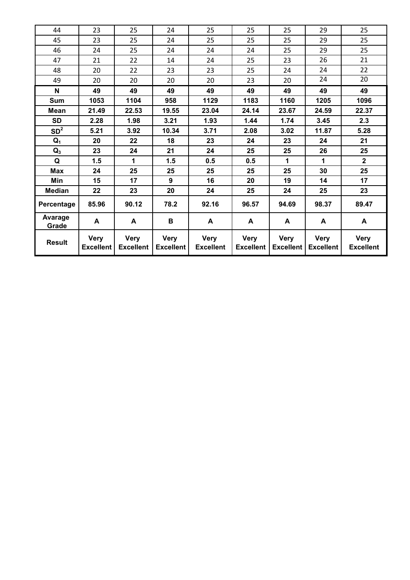| 44                      | 23                              | 25                              | 24                              | 25                              | 25                              | 25                              | 29                              | 25                              |
|-------------------------|---------------------------------|---------------------------------|---------------------------------|---------------------------------|---------------------------------|---------------------------------|---------------------------------|---------------------------------|
| 45                      | 23                              | 25                              | 24                              | 25                              | 25                              | 25                              | 29                              | 25                              |
| 46                      | 24                              | 25                              | 24                              | 24                              | 24                              | 25                              | 29                              | 25                              |
| 47                      | 21                              | 22                              | 14                              | 24                              | 25                              | 23                              | 26                              | 21                              |
| 48                      | 20                              | 22                              | 23                              | 23                              | 25                              | 24                              | 24                              | 22                              |
| 49                      | 20                              | 20                              | 20                              | 20                              | 23                              | 20                              | 24                              | 20                              |
| N                       | 49                              | 49                              | 49                              | 49                              | 49                              | 49                              | 49                              | 49                              |
| Sum                     | 1053                            | 1104                            | 958                             | 1129                            | 1183                            | 1160                            | 1205                            | 1096                            |
| <b>Mean</b>             | 21.49                           | 22.53                           | 19.55                           | 23.04                           | 24.14                           | 23.67                           | 24.59                           | 22.37                           |
| <b>SD</b>               | 2.28                            | 1.98                            | 3.21                            | 1.93                            | 1.44                            | 1.74                            | 3.45                            | 2.3                             |
| SD <sup>2</sup>         | 5.21                            | 3.92                            | 10.34                           | 3.71                            | 2.08                            | 3.02                            | 11.87                           | 5.28                            |
| $Q_1$                   | 20                              | 22                              | 18                              | 23                              | 24                              | 23                              | 24                              | 21                              |
| $Q_3$                   | 23                              | 24                              | 21                              | 24                              | 25                              | 25                              | 26                              | 25                              |
| Q                       | 1.5                             | 1                               | 1.5                             | 0.5                             | 0.5                             | 1                               | 1                               | $\overline{2}$                  |
| Max                     | 24                              | 25                              | 25                              | 25                              | 25                              | 25                              | 30                              | 25                              |
| Min                     | 15                              | 17                              | 9                               | 16                              | 20                              | 19                              | 14                              | 17                              |
| <b>Median</b>           | 22                              | 23                              | 20                              | 24                              | 25                              | 24                              | 25                              | 23                              |
| Percentage              | 85.96                           | 90.12                           | 78.2                            | 92.16                           | 96.57                           | 94.69                           | 98.37                           | 89.47                           |
| <b>Avarage</b><br>Grade | A                               | A                               | B                               | A                               | A                               | A                               | A                               | A                               |
| <b>Result</b>           | <b>Very</b><br><b>Excellent</b> | <b>Very</b><br><b>Excellent</b> | <b>Very</b><br><b>Excellent</b> | <b>Very</b><br><b>Excellent</b> | <b>Very</b><br><b>Excellent</b> | <b>Very</b><br><b>Excellent</b> | <b>Very</b><br><b>Excellent</b> | <b>Very</b><br><b>Excellent</b> |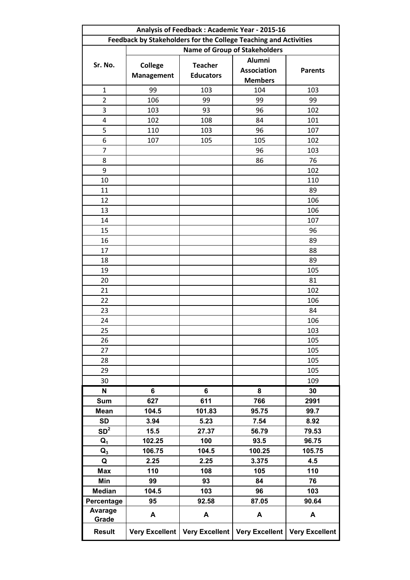|                 | Analysis of Feedback: Academic Year - 2015-16                    |                       |                                      |                       |  |  |  |  |  |
|-----------------|------------------------------------------------------------------|-----------------------|--------------------------------------|-----------------------|--|--|--|--|--|
|                 | Feedback by Stakeholders for the College Teaching and Activities |                       |                                      |                       |  |  |  |  |  |
|                 |                                                                  |                       | <b>Name of Group of Stakeholders</b> |                       |  |  |  |  |  |
|                 |                                                                  |                       | Alumni                               |                       |  |  |  |  |  |
| Sr. No.         | <b>College</b>                                                   | <b>Teacher</b>        | <b>Association</b>                   | <b>Parents</b>        |  |  |  |  |  |
|                 | <b>Management</b>                                                | <b>Educators</b>      | <b>Members</b>                       |                       |  |  |  |  |  |
| $\mathbf{1}$    | 99                                                               | 103                   | 104                                  | 103                   |  |  |  |  |  |
| $\overline{2}$  | 106                                                              | 99                    | 99                                   | 99                    |  |  |  |  |  |
| 3               | 103                                                              | 93                    | 96                                   | 102                   |  |  |  |  |  |
| 4               | 102                                                              | 108                   | 84                                   | 101                   |  |  |  |  |  |
| 5               | 110                                                              | 103                   | 96                                   | 107                   |  |  |  |  |  |
| 6               | 107                                                              | 105                   | 105                                  | 102                   |  |  |  |  |  |
| 7               |                                                                  |                       | 96                                   | 103                   |  |  |  |  |  |
| 8               |                                                                  |                       | 86                                   | 76                    |  |  |  |  |  |
| 9               |                                                                  |                       |                                      | 102                   |  |  |  |  |  |
| 10              |                                                                  |                       |                                      | 110                   |  |  |  |  |  |
| 11              |                                                                  |                       |                                      | 89                    |  |  |  |  |  |
| 12              |                                                                  |                       |                                      | 106                   |  |  |  |  |  |
| 13              |                                                                  |                       |                                      | 106                   |  |  |  |  |  |
| 14              |                                                                  |                       |                                      | 107                   |  |  |  |  |  |
| 15              |                                                                  |                       |                                      | 96                    |  |  |  |  |  |
| 16              |                                                                  |                       |                                      | 89                    |  |  |  |  |  |
| 17              |                                                                  |                       |                                      | 88                    |  |  |  |  |  |
| 18              |                                                                  |                       |                                      | 89                    |  |  |  |  |  |
| 19              |                                                                  |                       |                                      | 105                   |  |  |  |  |  |
| 20              |                                                                  |                       |                                      | 81                    |  |  |  |  |  |
| 21              |                                                                  |                       |                                      | 102                   |  |  |  |  |  |
| 22              |                                                                  |                       |                                      | 106                   |  |  |  |  |  |
| 23              |                                                                  |                       |                                      | 84                    |  |  |  |  |  |
| 24              |                                                                  |                       |                                      | 106                   |  |  |  |  |  |
| 25              |                                                                  |                       |                                      | 103                   |  |  |  |  |  |
| 26              |                                                                  |                       |                                      | 105                   |  |  |  |  |  |
| 27              |                                                                  |                       |                                      | 105                   |  |  |  |  |  |
| 28              |                                                                  |                       |                                      | 105                   |  |  |  |  |  |
| 29              |                                                                  |                       |                                      | 105                   |  |  |  |  |  |
| 30              |                                                                  |                       |                                      | 109                   |  |  |  |  |  |
| N               | 6                                                                | 6                     | 8                                    | 30                    |  |  |  |  |  |
| <b>Sum</b>      | 627                                                              | 611                   | 766                                  | 2991                  |  |  |  |  |  |
| <b>Mean</b>     | 104.5                                                            | 101.83                | 95.75                                | 99.7                  |  |  |  |  |  |
| <b>SD</b>       | 3.94                                                             | 5.23                  | 7.54                                 | 8.92                  |  |  |  |  |  |
| SD <sup>2</sup> | 15.5                                                             | 27.37                 | 56.79                                | 79.53                 |  |  |  |  |  |
| $Q_1$           | 102.25                                                           | 100                   | 93.5                                 | 96.75                 |  |  |  |  |  |
| $Q_3$           | 106.75                                                           | 104.5                 | 100.25                               | 105.75                |  |  |  |  |  |
| Q               | 2.25                                                             | 2.25                  | 3.375                                | 4.5                   |  |  |  |  |  |
| <b>Max</b>      | 110                                                              | 108                   | 105                                  | 110                   |  |  |  |  |  |
| Min             | 99                                                               | 93                    | 84                                   | 76                    |  |  |  |  |  |
| <b>Median</b>   | 104.5                                                            | 103                   | 96                                   | 103                   |  |  |  |  |  |
| Percentage      | 95                                                               | 92.58                 | 87.05                                | 90.64                 |  |  |  |  |  |
| <b>Avarage</b>  |                                                                  |                       |                                      |                       |  |  |  |  |  |
| Grade           | A                                                                | A                     | A                                    | A                     |  |  |  |  |  |
| <b>Result</b>   | Very Excellent                                                   | <b>Very Excellent</b> | Very Excellent                       | <b>Very Excellent</b> |  |  |  |  |  |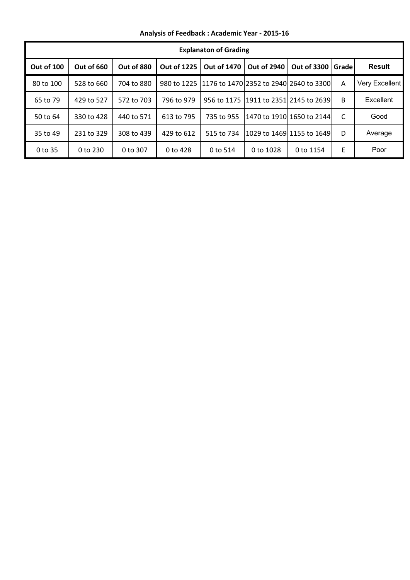**Analysis of Feedback : Academic Year - 2015-16**

|            |            |            |                    | <b>Explanaton of Grading</b>                       |                                           |                           |        |                |
|------------|------------|------------|--------------------|----------------------------------------------------|-------------------------------------------|---------------------------|--------|----------------|
| Out of 100 | Out of 660 | Out of 880 | <b>Out of 1225</b> | <b>Out of 1470</b>                                 | <b>Out of 2940</b>                        | <b>Out of 3300</b>        | Gradel | <b>Result</b>  |
| 80 to 100  | 528 to 660 | 704 to 880 |                    | 980 to 1225 1176 to 1470 2352 to 2940 2640 to 3300 |                                           |                           | A      | Very Excellent |
| 65 to 79   | 429 to 527 | 572 to 703 | 796 to 979         |                                                    | 956 to 1175   1911 to 2351   2145 to 2639 |                           | B      | Excellent      |
| 50 to 64   | 330 to 428 | 440 to 571 | 613 to 795         | 735 to 955                                         |                                           | 1470 to 1910 1650 to 2144 | C      | Good           |
| 35 to 49   | 231 to 329 | 308 to 439 | 429 to 612         | 515 to 734                                         |                                           | 1029 to 1469 1155 to 1649 | D      | Average        |
| 0 to 35    | 0 to 230   | 0 to 307   | 0 to 428           | 0 to 514                                           | 0 to 1028                                 | 0 to 1154                 | E      | Poor           |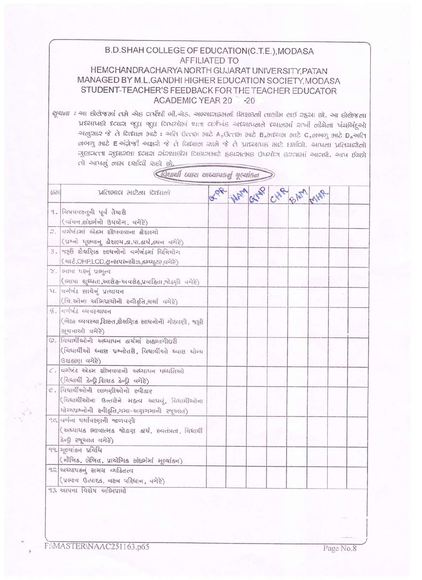|     | B.D. SHAH COLLEGE OF EDUCATION(C.T.E.), MODASA<br><b>AFFILIATED TO</b><br>HEMCHANDRACHARYA NORTH GUJARAT UNIVERSITY, PATAN<br>MANAGED BY M.L.GANDHI HIGHER EDUCATION SOCIETY, MODASA<br>STUDENT-TEACHER'S FEEDBACK FOR THE TEACHER EDUCATOR<br>ACADEMIC YEAR 20 -20                                                                                                                                                                                                                                                                                |  |  |  |  |
|-----|----------------------------------------------------------------------------------------------------------------------------------------------------------------------------------------------------------------------------------------------------------------------------------------------------------------------------------------------------------------------------------------------------------------------------------------------------------------------------------------------------------------------------------------------------|--|--|--|--|
|     | सूचाना : આ होलेका ताने खेह वर्षथी जी बेड. अल्यासक्रमली शिक्षहली तालीन लर्छ रहया छो. આ होलेकला<br>પ્રદયાપછો દવારા જુદા જુદા વિષયોમાં થતા વર્ગખંડ અદયાપનને દયાનમાં રાખી નીચેના પંચલિંદુઓ<br>कालुसार के ते विद्याल भारे: अति उत्तर भारे A, उत्तर भारे B, भद्यम भारे C, लबाजु भारे D, अति<br>ororg one E અંગ્રેજી અક્ષરો જે તે વિશાળ સાભે જે તે પ્રાધ્યાપક માટે દર્શાવો. આપના પ્રતિયારોનો<br>ગુણવત્તા સુધારણા ધ્વારા સંસ્થાહીય લિકાસમાટે ફકારાતમક ઉપયોગ કરવામાં આવશે. આપ ઈચ્છો<br>તો આપણું ભામ દર્શાલી શકો છો.<br>विधार्थी ध्यास साध्यापडतुं गुल्यांडन |  |  |  |  |
| 501 | <b>VIGIONICI 2012011 CIENOII</b>                                                                                                                                                                                                                                                                                                                                                                                                                                                                                                                   |  |  |  |  |
|     | १. विषयवस्तुनी पूर्व तैयाष्ठी<br>(बांचन,संहर्लनो ઉपयोग, वगेरे)                                                                                                                                                                                                                                                                                                                                                                                                                                                                                     |  |  |  |  |
| Q.  | વર્ગખંડમાં એકમ શીખવવાના કૌશભ્યો<br>(ग्रथ्नो पूछवानु डौशल्य,डा.या.डार्थ,डथन वगेरे)                                                                                                                                                                                                                                                                                                                                                                                                                                                                  |  |  |  |  |
|     | 3. कहृष्टी शैक्षप्रिाह साधनोनो वर्गजंडमां विनियोग<br>(ચાર્ટ,OHP,LCD,ટ્રાન્સપરન્સીઝ,કમ્પ્યૂટર,વગેરે)                                                                                                                                                                                                                                                                                                                                                                                                                                                |  |  |  |  |
|     | ४. लाया यस्लुं ग्रामुत्व<br>(ભાષા શુધ્ધતા,આરોહ-અવરોહ,પ્રવાહિતા,જોડણી વગેરે)                                                                                                                                                                                                                                                                                                                                                                                                                                                                        |  |  |  |  |
|     | ૫. વર્ગખંડ સાથેનું પ્રત્યાયન<br>(वि.ओला अलिग्रायोनी स्वीड़ति,यर्था वगेरे)                                                                                                                                                                                                                                                                                                                                                                                                                                                                          |  |  |  |  |
|     | $g$ , applying calculation<br>(બેઠક વ્યવસ્થા શિસ્ત,શૈક્ષણિક સાધનોની ગોઠ્યણી, જરૂરી<br>भुधनाओं पगेहें)                                                                                                                                                                                                                                                                                                                                                                                                                                              |  |  |  |  |
|     | ७. વિધાર્થીઓની અધ્યાપન કાર્યમાં સઢભાગીઘરી<br>(विधार्थीओ ध्वास ग्रश्नोतरी, विधार्थीઓ ध्वास योग्य<br>(उधहरुए वगेरे)                                                                                                                                                                                                                                                                                                                                                                                                                                  |  |  |  |  |
|     | $c$ . વર્ગખંડ એકમ શીખવવાની અઘ્યાયન યઘ્ધતિઓ<br>(विधार्थी डेन्द्री,शिक्षड डेन्द्री वगेरे)                                                                                                                                                                                                                                                                                                                                                                                                                                                            |  |  |  |  |
|     | G. વિધાર્થીઓની ભાગણીઓનો સ્વીક્રાર<br>(विधार्थीઓનा ઉत्तसेने महत्व आपवं, विधार्थीओना<br>યોગ્યપ્રશ્નોની સ્વીફતિ,ગમા-અયુાગમાની રજૂઆત)                                                                                                                                                                                                                                                                                                                                                                                                                  |  |  |  |  |
|     | ૧૦ વર્ગના પર્યાવસ્યાની જાળવર્ણી<br>(અધ્યાપક ભાવાત્મક જોડાણ કાર્ય, સ્વતંત્રતા, વિધાર્થી<br>डेन्ड्री स्थूआत वगेरे)                                                                                                                                                                                                                                                                                                                                                                                                                                   |  |  |  |  |
|     | ११. मूल्यांडन प्रविधि<br>(भौजिड, लेजित, प्रायोगिड संदर्लमां मूल्यांडन)                                                                                                                                                                                                                                                                                                                                                                                                                                                                             |  |  |  |  |
|     | ૧ર અધ્યાયકનું સમગ્ર વ્યકિતત્વ<br>(ग्रलाव ઉत्पाद्द, वस्त्र पहिचान, वगेरे)                                                                                                                                                                                                                                                                                                                                                                                                                                                                           |  |  |  |  |
|     | १३. आयना विशेष अलियायो                                                                                                                                                                                                                                                                                                                                                                                                                                                                                                                             |  |  |  |  |

F:\MASTER\NAAC251163.p65

Page No.8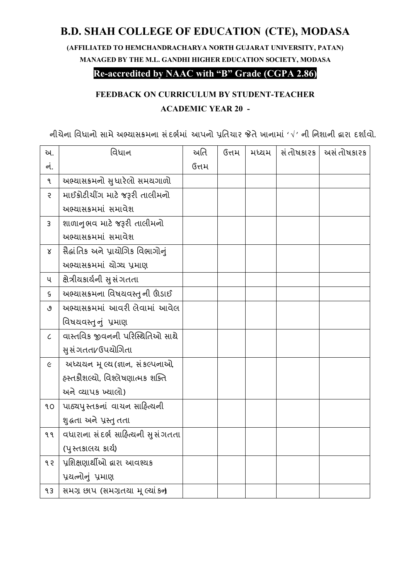# **B.D. SHAH COLLEGE OF EDUCATION (CTE), MODASA**

**(AFFILIATED TO HEMCHANDRACHARYA NORTH GUJARAT UNIVERSITY, PATAN) MANAGED BY THE M.L. GANDHI HIGHER EDUCATION SOCIETY, MODASA** 

### **Re-accredited by NAAC with "B" Grade (CGPA 2.86)**

## **FEEDBACK ON CURRICULUM BY STUDENT-TEACHER ACADEMIC YEAR 20 -**

નીચેના વિધાનો સામે અભ્યાસક્રમના સંદર્ભમાં આપનો પ્રતિચાર જેતે ખાનામાં ' $\vee$ ' ની નિશાની દ્વારા દર્શાવો.

| અ.                          | વિધાન                                    | અતિ   | ઉત્તમ | મધ્યમ | સં તોષકારક | અસં તોષકારક |
|-----------------------------|------------------------------------------|-------|-------|-------|------------|-------------|
| નં.                         |                                          | ઉત્તમ |       |       |            |             |
| ঀ                           | અભ્યાસક્રમનો સુધારેલો સમયગાળો            |       |       |       |            |             |
| $\mathcal{S}$               | માઈક્રોટીચીંગ માટે જરૂરી તાલીમનો         |       |       |       |            |             |
|                             | અભ્યાસક્રમમાં સમાવેશ                     |       |       |       |            |             |
| $\mathsf{3}$                | શાળાનુભવ માટે જરૂરી તાલીમનો              |       |       |       |            |             |
|                             | અભ્યાસક્રમમાં સમાવેશ                     |       |       |       |            |             |
| Χ                           | સૈદ્ધાંતિક અને પ્રાચોગિક વિભાગોનું       |       |       |       |            |             |
|                             | અભ્યાસક્રમમાં ચોગ્ય પ્રમાણ               |       |       |       |            |             |
| ૫                           | ક્ષેત્રીયકાર્યની સુસંગતતા                |       |       |       |            |             |
| S                           | અભ્યાસક્રમના વિષયવસ્તુ ની ઊંડાઈ          |       |       |       |            |             |
| ٯ                           | અભ્યાસક્રમમાં આવરી લેવામાં આવેલ          |       |       |       |            |             |
|                             | વિષયવસ્તુનું પ્રમાણ                      |       |       |       |            |             |
| $\mathcal{L}_{\mathcal{L}}$ | વાસ્તવિક જીવનની પરિસ્થિતિઓ સાથે          |       |       |       |            |             |
|                             | સુ સંગતતા∕ ઉપચોગિતા                      |       |       |       |            |             |
| $\epsilon$                  | અધ્યયન મૂલ્ય(જ્ઞાન, સંકલ્પનાઓ,           |       |       |       |            |             |
|                             | હસ્તક્રીશલ્યો, વિશ્લેષણાત્મક શક્તિ       |       |       |       |            |             |
|                             | <u>અને વ્યાપક ખ્યાલો)</u>                |       |       |       |            |             |
| ٩O                          | પાઠ્યપુસ્તકનાં વાચન સાહિત્યની            |       |       |       |            |             |
|                             | શુક્રતા અને પ્રસ્તુ તતા                  |       |       |       |            |             |
| ९ ९                         | વધારાના સંદર્ભ સાહિત્યની સુસંગતતા        |       |       |       |            |             |
|                             | (પુસ્તકાલય કાર્ય)                        |       |       |       |            |             |
| १२                          | પ્રશિક્ષણાર્થીઓ દ્વારા આવશ્યક            |       |       |       |            |             |
|                             | પ્રયત્નોનું પ્રમાણ                       |       |       |       |            |             |
| 93                          | સમગ્ર છાપ (સમગ્રતથા મૂ <i>લ્</i> યાં કન્ |       |       |       |            |             |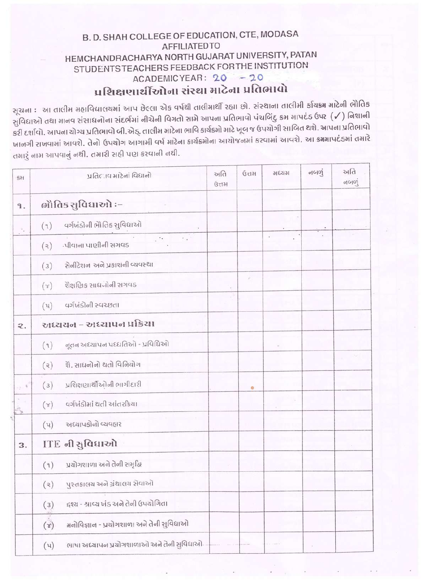### B.D. SHAH COLLEGE OF EDUCATION, CTE, MODASA **AFFILIATEDTO** HEMCHANDRACHARYA NORTH GUJARAT UNIVERSITY, PATAN STUDENTS TEACHERS FEEDBACK FOR THE INSTITUTION ACADEMICYEAR: 20 - 20 प्रशिक्षणार्थींखोना संस्था भाटेना प्रतिलावो

સૂચના : .આ તાલીમ મહાવિદ્યાલયમાં આપ છેલ્લા એક વર્ષથી તાલીમાર્થી રહ્યા છો. સંસ્થાના તાલીમી ર્કાચક્રમ માટેની ભાેેતિક સુવિદ્યાઓ તથા માનવ સંસાધનોના સંદર્ભમાં નીચેની વિગતો સામે આપના પ્રતિભાવો પંચબિંદુ ક્રમ માપદંડ ઉપર (√) નિશાની કરી દર્શાવો. આપના યોગ્ય પ્રતિભાવો બી.એડ્. તાલીમ માટેના ભાવિ કાર્યક્રમો માટે ખૂબ જ ઉપયોગી સાબિત થશે. આપના પ્રતિભાવો ખાનગી રાખવામાં આવશે. તેનો ઉપચોગ આગામી વર્ષ માટેના કાર્યક્રમોના આયોજનમાં કરવામાં આવશે. આ ક્રમમાપદંડમાં તમારે તમારું નામ આપવાનું નથી. તમારી સહી પણ કરવાની નથી.

| 531                              | प्रतिहास भारेनां विधानो                                      | અતિ<br>G <sub>t</sub> | ઉત્તમ | अध्यभ | નબળું | અતિ<br>d |
|----------------------------------|--------------------------------------------------------------|-----------------------|-------|-------|-------|----------|
| $\mathbf{P}$ .                   | ोतिड सुविधाઓ :-                                              |                       |       |       |       |          |
| $\ddot{\phantom{a}}$             | વર્ગખંડોની ભેતિક સુવિધાઓ<br>(9)                              |                       |       |       |       |          |
|                                  | $\mathcal{C}^{\star}$<br>.પીવાના પાણીની સગવડ<br>(a)          |                       |       | ÷     |       |          |
|                                  | સેનીટેશન અને પ્રકાશની વ્યવસ્થા<br>(3)                        |                       |       |       |       |          |
|                                  | શૈક્ષણિક સાધનોની સગવડ<br>$(\tau)$                            |                       |       |       |       |          |
|                                  | વર્ગખંડોની સ્વચ્છતા<br>(u)                                   |                       |       |       |       |          |
| $\mathbf{2}$ .                   | અધ્યયન - અધ્યાપન પ્રક્રિયા                                   |                       |       |       |       |          |
|                                  | નૂતન અધ્યાપન પધ્ધતિઓ - પ્રવિધિઓ<br>(9)                       |                       |       |       |       |          |
|                                  | શે. સાધનોનો થતો વિનિયોગ<br>(a)                               |                       |       |       |       |          |
| $\gamma$ . $\beta$               | પ્રશિક્ષણાર્થીઓની ભાગીદારી<br>(3)                            |                       | ۰     |       |       |          |
| $\hat{\mathcal{O}}_{\mathbf{B}}$ | વર્ગખંડોમાં થતી આંતરકિયા<br>$(\mathcal{L})$                  |                       |       |       |       |          |
|                                  | અધ્યાપકોનો વ્યવહાર<br>(u)                                    |                       |       |       |       |          |
| 3.                               | ITE नी सुविधाओ                                               |                       |       |       |       |          |
|                                  | પ્રયોગશાળા અને તેની સમૃદ્ધિ<br>(9)                           |                       |       |       |       |          |
|                                  | પુસ્તકાલચ અને ગ્રંથાલચ સેવાઓ<br>(a)                          |                       |       |       |       |          |
|                                  | દ્દશ્ય - શ્રાવ્ય ખંડ અને તેની ઉપયોગિતા<br>(3)                |                       |       |       |       |          |
|                                  | $(\mathbf{r})$<br>મનોવિજ્ઞાન - પ્રયોગશાળા અને તેની સુવિદ્યાઓ |                       |       |       |       |          |
|                                  | ભાષા અધ્યાપન પ્રયોગશાળાઓ અને તેની સુવિધાઓ<br>(u)             |                       |       |       |       |          |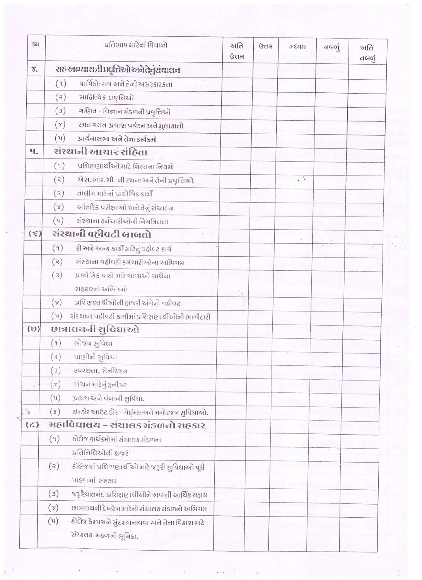| 5H          |                    | પ્રતિભાવ માટેનાં વિદ્યાનો                            | અતિ<br><b>ઉત્તમ</b> | G <sub>TH</sub> | भध्यभ                     | નબળું | અતિ<br>નબળું |  |
|-------------|--------------------|------------------------------------------------------|---------------------|-----------------|---------------------------|-------|--------------|--|
| γ.          |                    | सह खम्यासनी प्रपृतिसोखने केनुसंघालन                  |                     |                 |                           |       |              |  |
|             | (9)                | વાર્ષિકોત્સવ અને તેની અસરકારકતા                      |                     |                 |                           |       |              |  |
|             | (a)                | સાદિત્યિક પ્રવૃત્તિઓ                                 |                     |                 |                           |       |              |  |
|             | (3)                | ગણિત - વિજ્ઞાન મંડળની પ્રવૃત્તિઓ                     |                     |                 |                           |       |              |  |
| ×           | $(\check{\sigma})$ | રમત ગમત પ્રવાસ પર્યટન અને મુલાકાતો                   |                     |                 |                           |       |              |  |
| Ð           | (u)                | પ્રાર્થનાસભા અને તેના કાર્યક્રમો                     |                     |                 |                           |       |              |  |
| ч.          |                    | સંસ્થાની આચાર સંહિતા                                 |                     |                 |                           |       |              |  |
|             | (9)                | प्रशिक्षણार्थीઓ भाटे शिस्तना नियमो                   |                     |                 |                           |       |              |  |
|             | (a)                | એસ.આર.સી. ની રચના અને તેની પ્રવૃત્તિઓ.               |                     |                 | $\mathcal{L} \rightarrow$ |       |              |  |
|             | (3)                | તાલીમ માટેનાં પ્રાચોગિક કાર્યો                       |                     |                 |                           |       |              |  |
|             | $(\tau)$           | આંતરિક પરીક્ષાઓ અને તેનું સંચાલન                     |                     |                 |                           |       |              |  |
|             | (u)                | સંસ્થાના કર્મચારીઓની નિચમિતતા                        |                     |                 |                           |       |              |  |
| $(\bar{x})$ |                    | संस्थानी वहीवटी जाजतो<br>$6 - 8$                     |                     |                 |                           |       |              |  |
|             | (9)                | ફી અને અન્ય કાર્યો માટેનું વઠીવટ કાર્ય               |                     |                 |                           |       |              |  |
|             | (3)                | સંસ્થાના વઠીવટી કર્મચારીઓના અભિગમ                    |                     |                 |                           |       |              |  |
|             | (3)                | પ્રાયોગિક પાઠો માટે શાળાઓ સાથેના                     |                     |                 |                           |       |              |  |
|             |                    | સહકારના અભિગમો                                       | ô.                  |                 |                           |       |              |  |
|             | $(\mathcal{C})$    | પ્રશિક્ષણાર્થીઓની હાજરી અંગેનો વહીવટ                 |                     |                 |                           |       |              |  |
|             | $(\mathfrak{u})$   | સંસ્થાના વહીવટી કાર્યોમાં પ્રશિક્ષણાર્થીઓની ભાગીદારી |                     |                 |                           |       |              |  |
| (0)         |                    | છાત્રાલયની સુવિધાઓ                                   |                     |                 |                           |       |              |  |
|             | (9)                | ભોજન સુવિદ્યા                                        |                     |                 |                           |       |              |  |
|             | (3)                | पाણीनी સુવિદ્યા                                      |                     |                 |                           |       |              |  |
|             | (3)                | स्पर्श्वता, सेनीटेशन                                 |                     |                 |                           |       |              |  |
|             | $(\mathcal{L})$    | વાંચન માટેનું ફર્નીચર                                |                     |                 |                           |       |              |  |
|             | $(\vee)$           | પ્રકાશ અને પંખાની સુવિધા.                            |                     |                 |                           |       |              |  |
| Ő,          | $(\mathbf{s})$     | ઈન્ડોર આઉટ ડોર - ગેઈમ્સ અને મનોરંજન સુવિધાઓ.         |                     |                 |                           |       |              |  |
| (C)         |                    | મહાવિદ્યાલય – સંચાલક મંડળનો સહકાર                    |                     |                 |                           |       |              |  |
|             | (9)                | કોલેજ કાર્યક્રમોમાં સંચાલક મંડળના                    |                     |                 |                           |       |              |  |
|             |                    | प्रतिनिधिઓની हाજરી                                   |                     |                 |                           |       |              |  |
|             | (3)                | કોલેજમાં પ્રશિશ્વણાર્થીઓ માટે જરૂરી સુવિધાઓ પૂરી     |                     |                 |                           |       |              |  |
|             |                    | SIBSHI HISPIN                                        |                     |                 |                           |       |              |  |
|             | (3)                | જરૂરિયાતમંદ પ્રશિક્ષણાર્થીઓને અપાતી આર્થિક સહાય      |                     |                 |                           |       |              |  |
|             | $(\lambda)$        | છાત્રાલયની દેખરેખ માટેનો સંચાલક મંડળનો અભિગમ         |                     |                 |                           |       |              |  |
|             | (u)                | કોલેજ કેમ્પસને સુંદર બનાવવા અને તેના વિકાસ માટે      |                     |                 |                           |       |              |  |
|             |                    | સંચાલક મંડળની ભૂમિકા.                                |                     |                 |                           |       |              |  |

 $\frac{1}{2}$ 

 $\mathcal{L}_{\mathcal{L}}$ 

÷,

 $\frac{6}{\pi^2}$ 

 $\mathbf{z} \in \mathbb{R}^{n \times n}$  .

 $\frac{1}{\alpha}$ 

 $\frac{1}{k}$